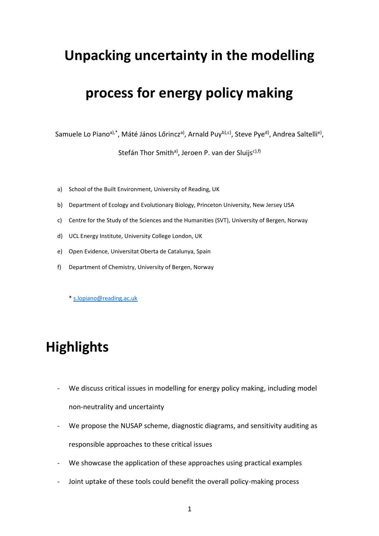### **Unpacking uncertainty in the modelling**

### **process for energy policy making**

Samuele Lo Piano<sup>a),\*</sup>, Máté János Lőrincz<sup>a)</sup>, Arnald Puy<sup>b),c)</sup>, Steve Pye<sup>d)</sup>, Andrea Saltelli<sup>e)</sup>,

Stefán Thor Smith<sup>a)</sup>, Jeroen P. van der Sluijs<sup>c),f)</sup>

- a) School of the Built Environment, University of Reading, UK
- b) Department of Ecology and Evolutionary Biology, Princeton University, New Jersey USA
- c) Centre for the Study of the Sciences and the Humanities (SVT), University of Bergen, Norway
- d) UCL Energy Institute, University College London, UK
- e) Open Evidence, Universitat Oberta de Catalunya, Spain
- f) Department of Chemistry, University of Bergen, Norway

[\\* s.lopiano@reading.ac.uk](mailto:s.lopiano@reading.ac.uk)

# **Highlights**

- We discuss critical issues in modelling for energy policy making, including model non-neutrality and uncertainty
- We propose the NUSAP scheme, diagnostic diagrams, and sensitivity auditing as responsible approaches to these critical issues
- We showcase the application of these approaches using practical examples
- Joint uptake of these tools could benefit the overall policy-making process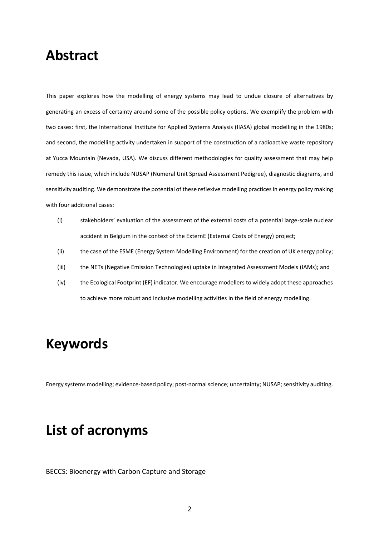### **Abstract**

This paper explores how the modelling of energy systems may lead to undue closure of alternatives by generating an excess of certainty around some of the possible policy options. We exemplify the problem with two cases: first, the International Institute for Applied Systems Analysis (IIASA) global modelling in the 1980s; and second, the modelling activity undertaken in support of the construction of a radioactive waste repository at Yucca Mountain (Nevada, USA). We discuss different methodologies for quality assessment that may help remedy this issue, which include NUSAP (Numeral Unit Spread Assessment Pedigree), diagnostic diagrams, and sensitivity auditing. We demonstrate the potential of these reflexive modelling practices in energy policy making with four additional cases:

- (i) stakeholders' evaluation of the assessment of the external costs of a potential large-scale nuclear accident in Belgium in the context of the ExternE (External Costs of Energy) project;
- (ii) the case of the ESME (Energy System Modelling Environment) for the creation of UK energy policy;
- (iii) the NETs (Negative Emission Technologies) uptake in Integrated Assessment Models (IAMs); and
- (iv) the Ecological Footprint (EF) indicator. We encourage modellers to widely adopt these approaches to achieve more robust and inclusive modelling activities in the field of energy modelling.

### **Keywords**

Energy systems modelling; evidence-based policy; post-normal science; uncertainty; NUSAP; sensitivity auditing.

### **List of acronyms**

BECCS: Bioenergy with Carbon Capture and Storage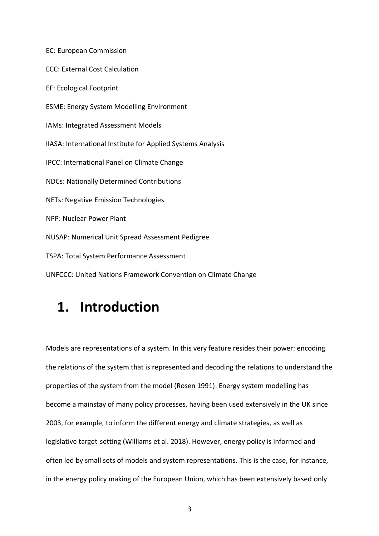EC: European Commission ECC: External Cost Calculation EF: Ecological Footprint ESME: Energy System Modelling Environment IAMs: Integrated Assessment Models IIASA: International Institute for Applied Systems Analysis IPCC: International Panel on Climate Change NDCs: Nationally Determined Contributions NETs: Negative Emission Technologies NPP: Nuclear Power Plant NUSAP: Numerical Unit Spread Assessment Pedigree TSPA: Total System Performance Assessment

UNFCCC: United Nations Framework Convention on Climate Change

## **1. Introduction**

Models are representations of a system. In this very feature resides their power: encoding the relations of the system that is represented and decoding the relations to understand the properties of the system from the model (Rosen 1991). Energy system modelling has become a mainstay of many policy processes, having been used extensively in the UK since 2003, for example, to inform the different energy and climate strategies, as well as legislative target-setting (Williams et al. 2018). However, energy policy is informed and often led by small sets of models and system representations. This is the case, for instance, in the energy policy making of the European Union, which has been extensively based only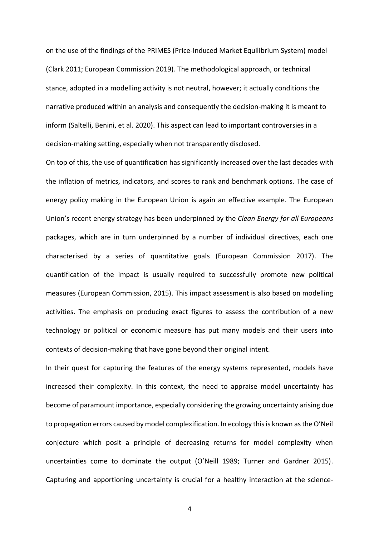on the use of the findings of the PRIMES (Price-Induced Market Equilibrium System) model (Clark 2011; European Commission 2019). The methodological approach, or technical stance, adopted in a modelling activity is not neutral, however; it actually conditions the narrative produced within an analysis and consequently the decision-making it is meant to inform (Saltelli, Benini, et al. 2020). This aspect can lead to important controversies in a decision-making setting, especially when not transparently disclosed.

On top of this, the use of quantification has significantly increased over the last decades with the inflation of metrics, indicators, and scores to rank and benchmark options. The case of energy policy making in the European Union is again an effective example. The European Union's recent energy strategy has been underpinned by the *Clean Energy for all Europeans* packages, which are in turn underpinned by a number of individual directives, each one characterised by a series of quantitative goals (European Commission 2017). The quantification of the impact is usually required to successfully promote new political measures (European Commission, 2015). This impact assessment is also based on modelling activities. The emphasis on producing exact figures to assess the contribution of a new technology or political or economic measure has put many models and their users into contexts of decision-making that have gone beyond their original intent.

In their quest for capturing the features of the energy systems represented, models have increased their complexity. In this context, the need to appraise model uncertainty has become of paramount importance, especially considering the growing uncertainty arising due to propagation errors caused by model complexification. In ecology this is known as the O'Neil conjecture which posit a principle of decreasing returns for model complexity when uncertainties come to dominate the output (O'Neill 1989; Turner and Gardner 2015). Capturing and apportioning uncertainty is crucial for a healthy interaction at the science-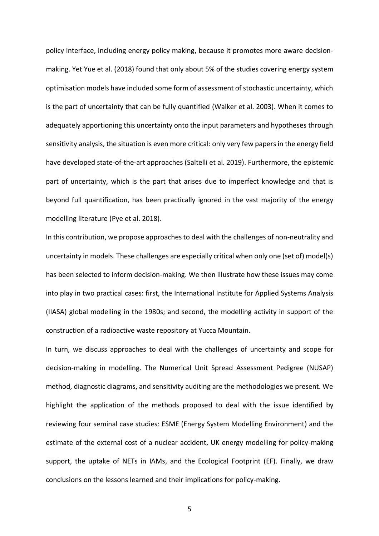policy interface, including energy policy making, because it promotes more aware decisionmaking. Yet Yue et al. (2018) found that only about 5% of the studies covering energy system optimisation models have included some form of assessment of stochastic uncertainty, which is the part of uncertainty that can be fully quantified (Walker et al. 2003). When it comes to adequately apportioning this uncertainty onto the input parameters and hypotheses through sensitivity analysis, the situation is even more critical: only very few papersin the energy field have developed state-of-the-art approaches (Saltelli et al. 2019). Furthermore, the epistemic part of uncertainty, which is the part that arises due to imperfect knowledge and that is beyond full quantification, has been practically ignored in the vast majority of the energy modelling literature (Pye et al. 2018).

In this contribution, we propose approaches to deal with the challenges of non-neutrality and uncertainty in models. These challenges are especially critical when only one (set of) model(s) has been selected to inform decision-making. We then illustrate how these issues may come into play in two practical cases: first, the International Institute for Applied Systems Analysis (IIASA) global modelling in the 1980s; and second, the modelling activity in support of the construction of a radioactive waste repository at Yucca Mountain.

In turn, we discuss approaches to deal with the challenges of uncertainty and scope for decision-making in modelling. The Numerical Unit Spread Assessment Pedigree (NUSAP) method, diagnostic diagrams, and sensitivity auditing are the methodologies we present. We highlight the application of the methods proposed to deal with the issue identified by reviewing four seminal case studies: ESME (Energy System Modelling Environment) and the estimate of the external cost of a nuclear accident, UK energy modelling for policy-making support, the uptake of NETs in IAMs, and the Ecological Footprint (EF). Finally, we draw conclusions on the lessons learned and their implications for policy-making.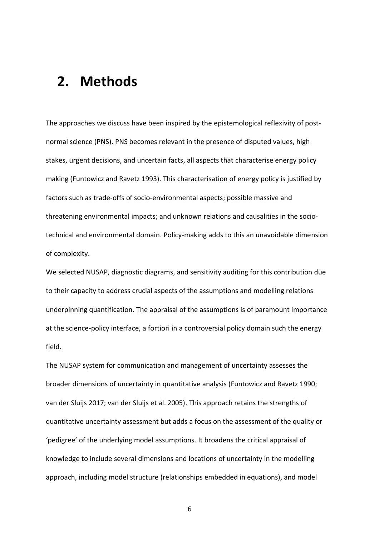## **2. Methods**

The approaches we discuss have been inspired by the epistemological reflexivity of postnormal science (PNS). PNS becomes relevant in the presence of disputed values, high stakes, urgent decisions, and uncertain facts, all aspects that characterise energy policy making (Funtowicz and Ravetz 1993). This characterisation of energy policy is justified by factors such as trade-offs of socio-environmental aspects; possible massive and threatening environmental impacts; and unknown relations and causalities in the sociotechnical and environmental domain. Policy-making adds to this an unavoidable dimension of complexity.

We selected NUSAP, diagnostic diagrams, and sensitivity auditing for this contribution due to their capacity to address crucial aspects of the assumptions and modelling relations underpinning quantification. The appraisal of the assumptions is of paramount importance at the science-policy interface, a fortiori in a controversial policy domain such the energy field.

The NUSAP system for communication and management of uncertainty assesses the broader dimensions of uncertainty in quantitative analysis (Funtowicz and Ravetz 1990; van der Sluijs 2017; van der Sluijs et al. 2005). This approach retains the strengths of quantitative uncertainty assessment but adds a focus on the assessment of the quality or 'pedigree' of the underlying model assumptions. It broadens the critical appraisal of knowledge to include several dimensions and locations of uncertainty in the modelling approach, including model structure (relationships embedded in equations), and model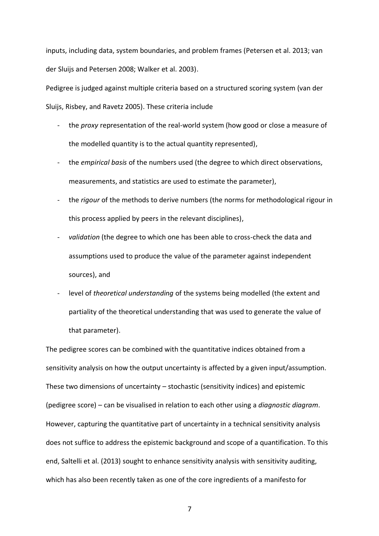inputs, including data, system boundaries, and problem frames (Petersen et al. 2013; van der Sluijs and Petersen 2008; Walker et al. 2003).

Pedigree is judged against multiple criteria based on a structured scoring system (van der

Sluijs, Risbey, and Ravetz 2005). These criteria include

- the *proxy* representation of the real-world system (how good or close a measure of the modelled quantity is to the actual quantity represented),
- the *empirical basis* of the numbers used (the degree to which direct observations, measurements, and statistics are used to estimate the parameter),
- the *rigour* of the methods to derive numbers (the norms for methodological rigour in this process applied by peers in the relevant disciplines),
- *validation* (the degree to which one has been able to cross-check the data and assumptions used to produce the value of the parameter against independent sources), and
- level of *theoretical understanding* of the systems being modelled (the extent and partiality of the theoretical understanding that was used to generate the value of that parameter).

The pedigree scores can be combined with the quantitative indices obtained from a sensitivity analysis on how the output uncertainty is affected by a given input/assumption. These two dimensions of uncertainty – stochastic (sensitivity indices) and epistemic (pedigree score) – can be visualised in relation to each other using a *diagnostic diagram*. However, capturing the quantitative part of uncertainty in a technical sensitivity analysis does not suffice to address the epistemic background and scope of a quantification. To this end, Saltelli et al. (2013) sought to enhance sensitivity analysis with sensitivity auditing, which has also been recently taken as one of the core ingredients of a manifesto for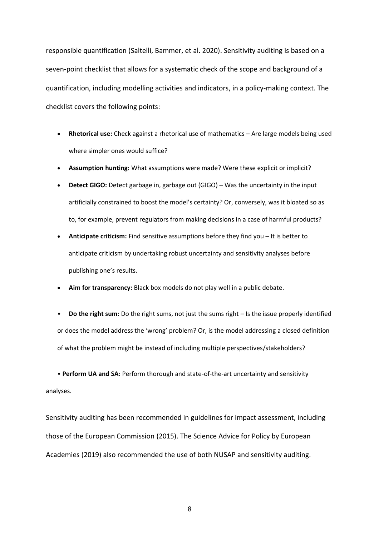responsible quantification (Saltelli, Bammer, et al. 2020). Sensitivity auditing is based on a seven-point checklist that allows for a systematic check of the scope and background of a quantification, including modelling activities and indicators, in a policy-making context. The checklist covers the following points:

- **Rhetorical use:** Check against a rhetorical use of mathematics Are large models being used where simpler ones would suffice?
- **Assumption hunting:** What assumptions were made? Were these explicit or implicit?
- **Detect GIGO:** Detect garbage in, garbage out (GIGO) Was the uncertainty in the input artificially constrained to boost the model's certainty? Or, conversely, was it bloated so as to, for example, prevent regulators from making decisions in a case of harmful products?
- **Anticipate criticism:** Find sensitive assumptions before they find you It is better to anticipate criticism by undertaking robust uncertainty and sensitivity analyses before publishing one's results.
- **Aim for transparency:** Black box models do not play well in a public debate.
- **Do the right sum:** Do the right sums, not just the sums right Is the issue properly identified or does the model address the 'wrong' problem? Or, is the model addressing a closed definition of what the problem might be instead of including multiple perspectives/stakeholders?

• **Perform UA and SA:** Perform thorough and state-of-the-art uncertainty and sensitivity analyses.

Sensitivity auditing has been recommended in guidelines for impact assessment, including those of the European Commission (2015). The Science Advice for Policy by European Academies (2019) also recommended the use of both NUSAP and sensitivity auditing.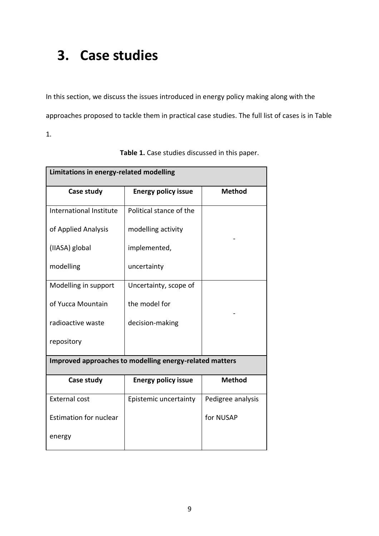## **3. Case studies**

In this section, we discuss the issues introduced in energy policy making along with the approaches proposed to tackle them in practical case studies. The full list of cases is in Table

1.

| Limitations in energy-related modelling                 |                            |                   |  |
|---------------------------------------------------------|----------------------------|-------------------|--|
| Case study                                              | <b>Energy policy issue</b> | <b>Method</b>     |  |
| International Institute                                 | Political stance of the    |                   |  |
| of Applied Analysis                                     | modelling activity         |                   |  |
| (IIASA) global                                          | implemented,               |                   |  |
| modelling                                               | uncertainty                |                   |  |
| Modelling in support                                    | Uncertainty, scope of      |                   |  |
| of Yucca Mountain                                       | the model for              |                   |  |
| radioactive waste                                       | decision-making            |                   |  |
| repository                                              |                            |                   |  |
| Improved approaches to modelling energy-related matters |                            |                   |  |
| Case study                                              | <b>Energy policy issue</b> | <b>Method</b>     |  |
| <b>External cost</b>                                    | Epistemic uncertainty      | Pedigree analysis |  |
| <b>Estimation for nuclear</b>                           |                            | for NUSAP         |  |
| energy                                                  |                            |                   |  |

| Table 1. Case studies discussed in this paper. |  |
|------------------------------------------------|--|
|------------------------------------------------|--|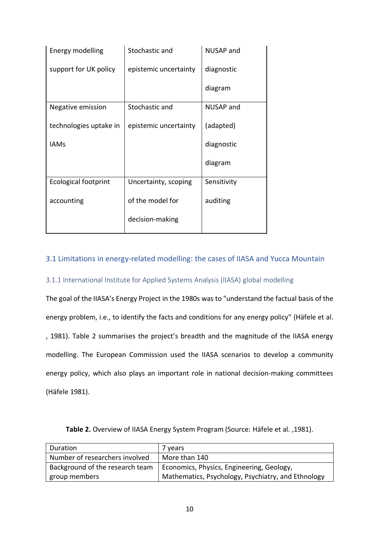| Energy modelling       | Stochastic and        | <b>NUSAP and</b> |
|------------------------|-----------------------|------------------|
| support for UK policy  | epistemic uncertainty | diagnostic       |
|                        |                       | diagram          |
| Negative emission      | Stochastic and        | <b>NUSAP</b> and |
| technologies uptake in | epistemic uncertainty | (adapted)        |
| <b>IAMs</b>            |                       | diagnostic       |
|                        |                       | diagram          |
| Ecological footprint   | Uncertainty, scoping  | Sensitivity      |
| accounting             | of the model for      | auditing         |
|                        | decision-making       |                  |
|                        |                       |                  |

### 3.1 Limitations in energy-related modelling: the cases of IIASA and Yucca Mountain

#### 3.1.1 International Institute for Applied Systems Analysis (IIASA) global modelling

The goal of the IIASA's Energy Project in the 1980s was to "understand the factual basis of the energy problem, i.e., to identify the facts and conditions for any energy policy" (Häfele et al. , 1981). Table 2 summarises the project's breadth and the magnitude of the IIASA energy modelling. The European Commission used the IIASA scenarios to develop a community energy policy, which also plays an important role in national decision-making committees (Häfele 1981).

| Duration                        | 7 years                                            |
|---------------------------------|----------------------------------------------------|
| Number of researchers involved  | More than 140                                      |
| Background of the research team | Economics, Physics, Engineering, Geology,          |
| group members                   | Mathematics, Psychology, Psychiatry, and Ethnology |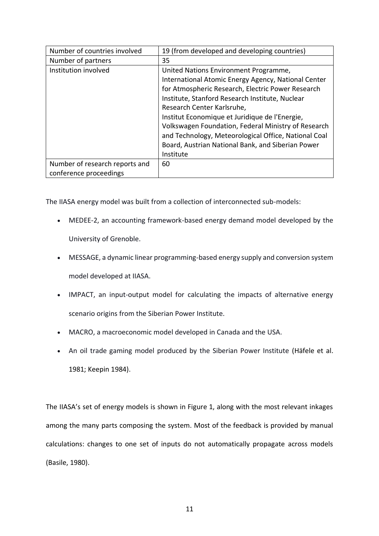| Number of countries involved   | 19 (from developed and developing countries)         |  |
|--------------------------------|------------------------------------------------------|--|
| Number of partners             | 35                                                   |  |
| Institution involved           | United Nations Environment Programme,                |  |
|                                | International Atomic Energy Agency, National Center  |  |
|                                | for Atmospheric Research, Electric Power Research    |  |
|                                | Institute, Stanford Research Institute, Nuclear      |  |
|                                | Research Center Karlsruhe,                           |  |
|                                | Institut Economique et Juridique de l'Energie,       |  |
|                                | Volkswagen Foundation, Federal Ministry of Research  |  |
|                                | and Technology, Meteorological Office, National Coal |  |
|                                | Board, Austrian National Bank, and Siberian Power    |  |
|                                | Institute                                            |  |
| Number of research reports and | 60                                                   |  |
| conference proceedings         |                                                      |  |

The IIASA energy model was built from a collection of interconnected sub-models:

- MEDEE-2, an accounting framework-based energy demand model developed by the University of Grenoble.
- MESSAGE, a dynamic linear programming-based energy supply and conversion system model developed at IIASA.
- IMPACT, an input-output model for calculating the impacts of alternative energy scenario origins from the Siberian Power Institute.
- MACRO, a macroeconomic model developed in Canada and the USA.
- An oil trade gaming model produced by the Siberian Power Institute (Häfele et al. 1981; Keepin 1984).

The IIASA's set of energy models is shown in Figure 1, along with the most relevant inkages among the many parts composing the system. Most of the feedback is provided by manual calculations: changes to one set of inputs do not automatically propagate across models (Basile, 1980).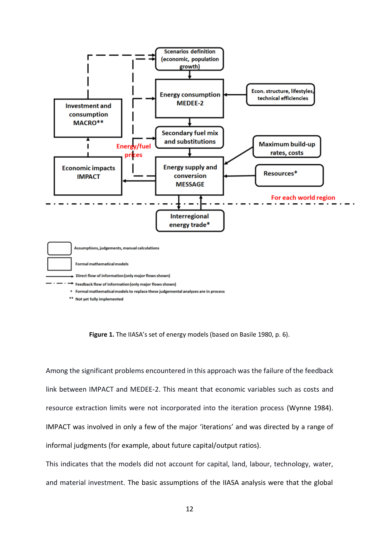

**Figure 1.** The IIASA's set of energy models (based on Basile 1980, p. 6).

Among the significant problems encountered in this approach was the failure of the feedback link between IMPACT and MEDEE-2. This meant that economic variables such as costs and resource extraction limits were not incorporated into the iteration process (Wynne 1984). IMPACT was involved in only a few of the major 'iterations' and was directed by a range of informal judgments (for example, about future capital/output ratios).

This indicates that the models did not account for capital, land, labour, technology, water, and material investment. The basic assumptions of the IIASA analysis were that the global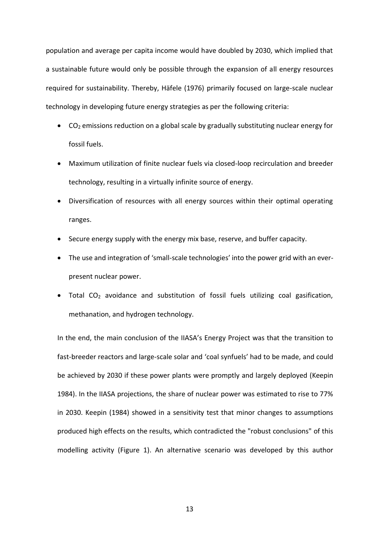population and average per capita income would have doubled by 2030, which implied that a sustainable future would only be possible through the expansion of all energy resources required for sustainability. Thereby, Häfele (1976) primarily focused on large-scale nuclear technology in developing future energy strategies as per the following criteria:

- $CO<sub>2</sub>$  emissions reduction on a global scale by gradually substituting nuclear energy for fossil fuels.
- Maximum utilization of finite nuclear fuels via closed-loop recirculation and breeder technology, resulting in a virtually infinite source of energy.
- Diversification of resources with all energy sources within their optimal operating ranges.
- Secure energy supply with the energy mix base, reserve, and buffer capacity.
- The use and integration of 'small-scale technologies' into the power grid with an everpresent nuclear power.
- Total CO<sup>2</sup> avoidance and substitution of fossil fuels utilizing coal gasification, methanation, and hydrogen technology.

In the end, the main conclusion of the IIASA's Energy Project was that the transition to fast-breeder reactors and large-scale solar and 'coal synfuels' had to be made, and could be achieved by 2030 if these power plants were promptly and largely deployed (Keepin 1984). In the IIASA projections, the share of nuclear power was estimated to rise to 77% in 2030. Keepin (1984) showed in a sensitivity test that minor changes to assumptions produced high effects on the results, which contradicted the "robust conclusions" of this modelling activity (Figure 1). An alternative scenario was developed by this author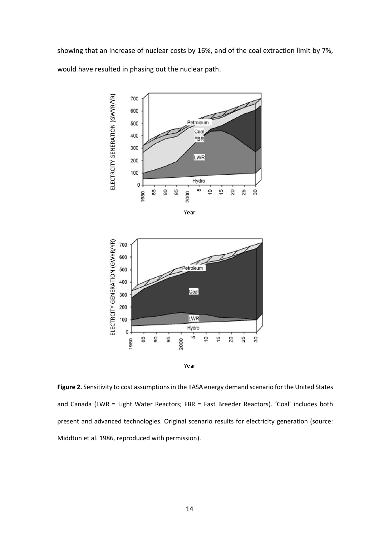showing that an increase of nuclear costs by 16%, and of the coal extraction limit by 7%, would have resulted in phasing out the nuclear path.





**Figure 2.** Sensitivity to cost assumptions in the IIASA energy demand scenario for the United States and Canada (LWR = Light Water Reactors; FBR = Fast Breeder Reactors). 'Coal' includes both present and advanced technologies. Original scenario results for electricity generation (source: Middtun et al. 1986, reproduced with permission).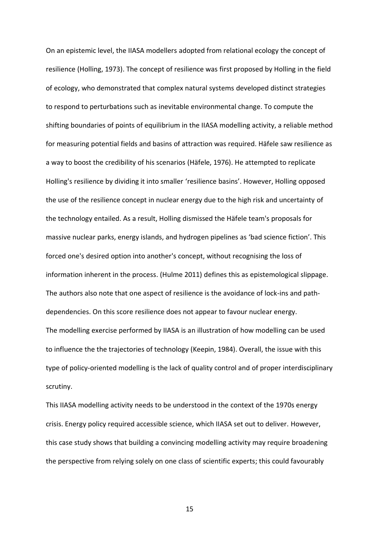On an epistemic level, the IIASA modellers adopted from relational ecology the concept of resilience (Holling, 1973). The concept of resilience was first proposed by Holling in the field of ecology, who demonstrated that complex natural systems developed distinct strategies to respond to perturbations such as inevitable environmental change. To compute the shifting boundaries of points of equilibrium in the IIASA modelling activity, a reliable method for measuring potential fields and basins of attraction was required. Häfele saw resilience as a way to boost the credibility of his scenarios (Häfele, 1976). He attempted to replicate Holling's resilience by dividing it into smaller 'resilience basins'. However, Holling opposed the use of the resilience concept in nuclear energy due to the high risk and uncertainty of the technology entailed. As a result, Holling dismissed the Häfele team's proposals for massive nuclear parks, energy islands, and hydrogen pipelines as 'bad science fiction'. This forced one's desired option into another's concept, without recognising the loss of information inherent in the process. (Hulme 2011) defines this as epistemological slippage. The authors also note that one aspect of resilience is the avoidance of lock-ins and pathdependencies. On this score resilience does not appear to favour nuclear energy. The modelling exercise performed by IIASA is an illustration of how modelling can be used to influence the the trajectories of technology (Keepin, 1984). Overall, the issue with this type of policy-oriented modelling is the lack of quality control and of proper interdisciplinary scrutiny.

This IIASA modelling activity needs to be understood in the context of the 1970s energy crisis. Energy policy required accessible science, which IIASA set out to deliver. However, this case study shows that building a convincing modelling activity may require broadening the perspective from relying solely on one class of scientific experts; this could favourably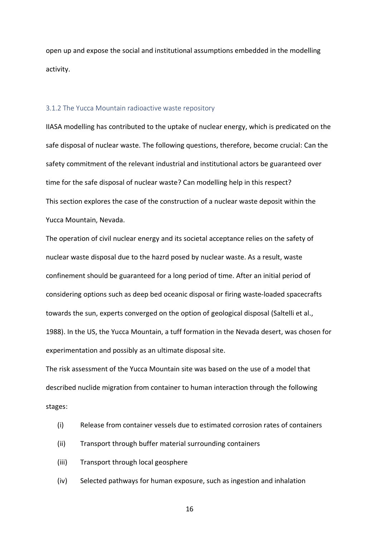open up and expose the social and institutional assumptions embedded in the modelling activity.

#### 3.1.2 The Yucca Mountain radioactive waste repository

IIASA modelling has contributed to the uptake of nuclear energy, which is predicated on the safe disposal of nuclear waste. The following questions, therefore, become crucial: Can the safety commitment of the relevant industrial and institutional actors be guaranteed over time for the safe disposal of nuclear waste? Can modelling help in this respect? This section explores the case of the construction of a nuclear waste deposit within the Yucca Mountain, Nevada.

The operation of civil nuclear energy and its societal acceptance relies on the safety of nuclear waste disposal due to the hazrd posed by nuclear waste. As a result, waste confinement should be guaranteed for a long period of time. After an initial period of considering options such as deep bed oceanic disposal or firing waste-loaded spacecrafts towards the sun, experts converged on the option of geological disposal (Saltelli et al., 1988). In the US, the Yucca Mountain, a tuff formation in the Nevada desert, was chosen for experimentation and possibly as an ultimate disposal site.

The risk assessment of the Yucca Mountain site was based on the use of a model that described nuclide migration from container to human interaction through the following stages:

- (i) Release from container vessels due to estimated corrosion rates of containers
- (ii) Transport through buffer material surrounding containers
- (iii) Transport through local geosphere
- (iv) Selected pathways for human exposure, such as ingestion and inhalation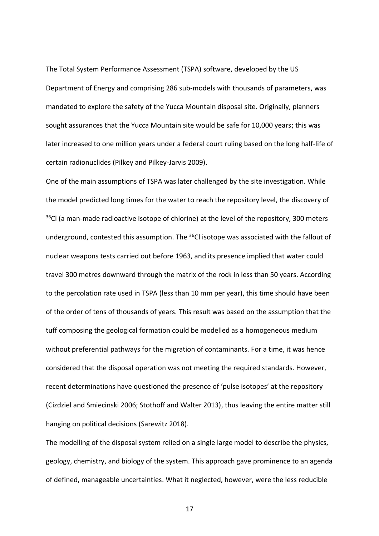The Total System Performance Assessment (TSPA) software, developed by the US Department of Energy and comprising 286 sub-models with thousands of parameters, was mandated to explore the safety of the Yucca Mountain disposal site. Originally, planners sought assurances that the Yucca Mountain site would be safe for 10,000 years; this was later increased to one million years under a federal court ruling based on the long half-life of certain radionuclides (Pilkey and Pilkey-Jarvis 2009).

One of the main assumptions of TSPA was later challenged by the site investigation. While the model predicted long times for the water to reach the repository level, the discovery of  $36$ Cl (a man-made radioactive isotope of chlorine) at the level of the repository, 300 meters underground, contested this assumption. The <sup>36</sup>Cl isotope was associated with the fallout of nuclear weapons tests carried out before 1963, and its presence implied that water could travel 300 metres downward through the matrix of the rock in less than 50 years. According to the percolation rate used in TSPA (less than 10 mm per year), this time should have been of the order of tens of thousands of years. This result was based on the assumption that the tuff composing the geological formation could be modelled as a homogeneous medium without preferential pathways for the migration of contaminants. For a time, it was hence considered that the disposal operation was not meeting the required standards. However, recent determinations have questioned the presence of 'pulse isotopes' at the repository (Cizdziel and Smiecinski 2006; Stothoff and Walter 2013), thus leaving the entire matter still hanging on political decisions (Sarewitz 2018).

The modelling of the disposal system relied on a single large model to describe the physics, geology, chemistry, and biology of the system. This approach gave prominence to an agenda of defined, manageable uncertainties. What it neglected, however, were the less reducible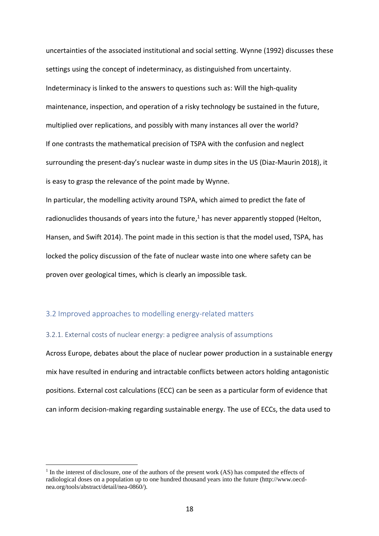uncertainties of the associated institutional and social setting. Wynne (1992) discusses these settings using the concept of indeterminacy, as distinguished from uncertainty. Indeterminacy is linked to the answers to questions such as: Will the high-quality maintenance, inspection, and operation of a risky technology be sustained in the future, multiplied over replications, and possibly with many instances all over the world? If one contrasts the mathematical precision of TSPA with the confusion and neglect surrounding the present-day's nuclear waste in dump sites in the US (Diaz-Maurin 2018), it is easy to grasp the relevance of the point made by Wynne.

In particular, the modelling activity around TSPA, which aimed to predict the fate of radionuclides thousands of years into the future, $<sup>1</sup>$  has never apparently stopped (Helton,</sup> Hansen, and Swift 2014). The point made in this section is that the model used, TSPA, has locked the policy discussion of the fate of nuclear waste into one where safety can be proven over geological times, which is clearly an impossible task.

#### 3.2 Improved approaches to modelling energy-related matters

#### 3.2.1. External costs of nuclear energy: a pedigree analysis of assumptions

Across Europe, debates about the place of nuclear power production in a sustainable energy mix have resulted in enduring and intractable conflicts between actors holding antagonistic positions. External cost calculations (ECC) can be seen as a particular form of evidence that can inform decision-making regarding sustainable energy. The use of ECCs, the data used to

<sup>&</sup>lt;sup>1</sup> In the interest of disclosure, one of the authors of the present work (AS) has computed the effects of radiological doses on a population up to one hundred thousand years into the future (http://www.oecdnea.org/tools/abstract/detail/nea-0860/).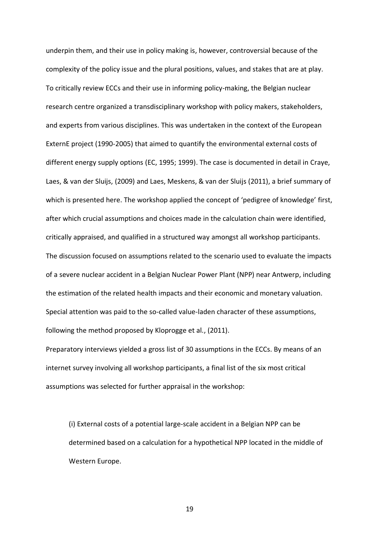underpin them, and their use in policy making is, however, controversial because of the complexity of the policy issue and the plural positions, values, and stakes that are at play. To critically review ECCs and their use in informing policy-making, the Belgian nuclear research centre organized a transdisciplinary workshop with policy makers, stakeholders, and experts from various disciplines. This was undertaken in the context of the European ExternE project (1990-2005) that aimed to quantify the environmental external costs of different energy supply options (EC, 1995; 1999). The case is documented in detail in Craye, Laes, & van der Sluijs, (2009) and Laes, Meskens, & van der Sluijs (2011), a brief summary of which is presented here. The workshop applied the concept of 'pedigree of knowledge' first, after which crucial assumptions and choices made in the calculation chain were identified, critically appraised, and qualified in a structured way amongst all workshop participants. The discussion focused on assumptions related to the scenario used to evaluate the impacts of a severe nuclear accident in a Belgian Nuclear Power Plant (NPP) near Antwerp, including the estimation of the related health impacts and their economic and monetary valuation. Special attention was paid to the so-called value-laden character of these assumptions, following the method proposed by Kloprogge et al., (2011).

Preparatory interviews yielded a gross list of 30 assumptions in the ECCs. By means of an internet survey involving all workshop participants, a final list of the six most critical assumptions was selected for further appraisal in the workshop:

(i) External costs of a potential large-scale accident in a Belgian NPP can be determined based on a calculation for a hypothetical NPP located in the middle of Western Europe.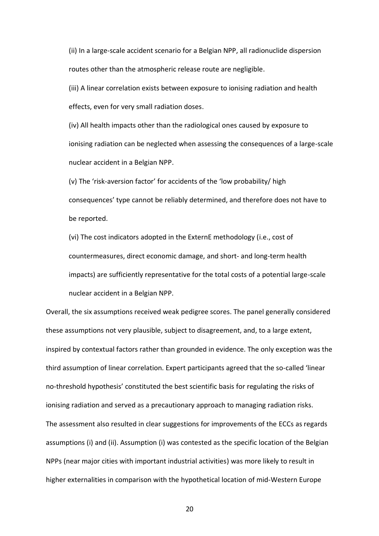(ii) In a large-scale accident scenario for a Belgian NPP, all radionuclide dispersion routes other than the atmospheric release route are negligible.

(iii) A linear correlation exists between exposure to ionising radiation and health effects, even for very small radiation doses.

(iv) All health impacts other than the radiological ones caused by exposure to ionising radiation can be neglected when assessing the consequences of a large-scale nuclear accident in a Belgian NPP.

(v) The 'risk-aversion factor' for accidents of the 'low probability/ high consequences' type cannot be reliably determined, and therefore does not have to be reported.

(vi) The cost indicators adopted in the ExternE methodology (i.e., cost of countermeasures, direct economic damage, and short- and long-term health impacts) are sufficiently representative for the total costs of a potential large-scale nuclear accident in a Belgian NPP.

Overall, the six assumptions received weak pedigree scores. The panel generally considered these assumptions not very plausible, subject to disagreement, and, to a large extent, inspired by contextual factors rather than grounded in evidence. The only exception was the third assumption of linear correlation. Expert participants agreed that the so-called 'linear no-threshold hypothesis' constituted the best scientific basis for regulating the risks of ionising radiation and served as a precautionary approach to managing radiation risks. The assessment also resulted in clear suggestions for improvements of the ECCs as regards assumptions (i) and (ii). Assumption (i) was contested as the specific location of the Belgian NPPs (near major cities with important industrial activities) was more likely to result in higher externalities in comparison with the hypothetical location of mid-Western Europe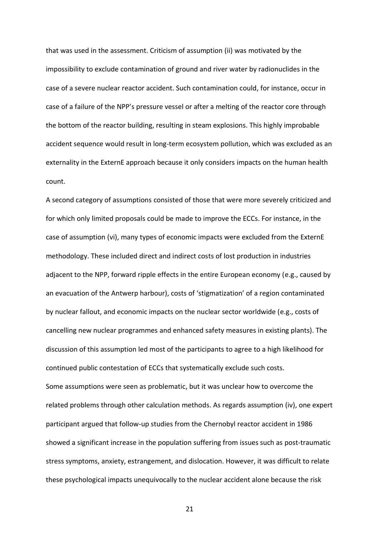that was used in the assessment. Criticism of assumption (ii) was motivated by the impossibility to exclude contamination of ground and river water by radionuclides in the case of a severe nuclear reactor accident. Such contamination could, for instance, occur in case of a failure of the NPP's pressure vessel or after a melting of the reactor core through the bottom of the reactor building, resulting in steam explosions. This highly improbable accident sequence would result in long-term ecosystem pollution, which was excluded as an externality in the ExternE approach because it only considers impacts on the human health count.

A second category of assumptions consisted of those that were more severely criticized and for which only limited proposals could be made to improve the ECCs. For instance, in the case of assumption (vi), many types of economic impacts were excluded from the ExternE methodology. These included direct and indirect costs of lost production in industries adjacent to the NPP, forward ripple effects in the entire European economy (e.g., caused by an evacuation of the Antwerp harbour), costs of 'stigmatization' of a region contaminated by nuclear fallout, and economic impacts on the nuclear sector worldwide (e.g., costs of cancelling new nuclear programmes and enhanced safety measures in existing plants). The discussion of this assumption led most of the participants to agree to a high likelihood for continued public contestation of ECCs that systematically exclude such costs. Some assumptions were seen as problematic, but it was unclear how to overcome the related problems through other calculation methods. As regards assumption (iv), one expert participant argued that follow-up studies from the Chernobyl reactor accident in 1986 showed a significant increase in the population suffering from issues such as post-traumatic stress symptoms, anxiety, estrangement, and dislocation. However, it was difficult to relate these psychological impacts unequivocally to the nuclear accident alone because the risk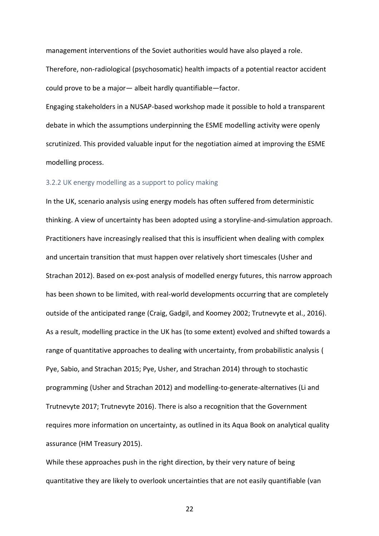management interventions of the Soviet authorities would have also played a role. Therefore, non-radiological (psychosomatic) health impacts of a potential reactor accident could prove to be a major— albeit hardly quantifiable—factor.

Engaging stakeholders in a NUSAP-based workshop made it possible to hold a transparent debate in which the assumptions underpinning the ESME modelling activity were openly scrutinized. This provided valuable input for the negotiation aimed at improving the ESME modelling process.

#### 3.2.2 UK energy modelling as a support to policy making

In the UK, scenario analysis using energy models has often suffered from deterministic thinking. A view of uncertainty has been adopted using a storyline-and-simulation approach. Practitioners have increasingly realised that this is insufficient when dealing with complex and uncertain transition that must happen over relatively short timescales (Usher and Strachan 2012). Based on ex-post analysis of modelled energy futures, this narrow approach has been shown to be limited, with real-world developments occurring that are completely outside of the anticipated range (Craig, Gadgil, and Koomey 2002; Trutnevyte et al., 2016). As a result, modelling practice in the UK has (to some extent) evolved and shifted towards a range of quantitative approaches to dealing with uncertainty, from probabilistic analysis ( Pye, Sabio, and Strachan 2015; Pye, Usher, and Strachan 2014) through to stochastic programming (Usher and Strachan 2012) and modelling-to-generate-alternatives (Li and Trutnevyte 2017; Trutnevyte 2016). There is also a recognition that the Government requires more information on uncertainty, as outlined in its Aqua Book on analytical quality assurance (HM Treasury 2015).

While these approaches push in the right direction, by their very nature of being quantitative they are likely to overlook uncertainties that are not easily quantifiable (van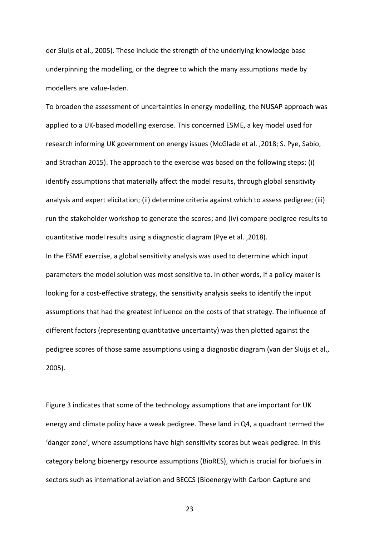der Sluijs et al., 2005). These include the strength of the underlying knowledge base underpinning the modelling, or the degree to which the many assumptions made by modellers are value-laden.

To broaden the assessment of uncertainties in energy modelling, the NUSAP approach was applied to a UK-based modelling exercise. This concerned ESME, a key model used for research informing UK government on energy issues (McGlade et al. ,2018; S. Pye, Sabio, and Strachan 2015). The approach to the exercise was based on the following steps: (i) identify assumptions that materially affect the model results, through global sensitivity analysis and expert elicitation; (ii) determine criteria against which to assess pedigree; (iii) run the stakeholder workshop to generate the scores; and (iv) compare pedigree results to quantitative model results using a diagnostic diagram (Pye et al. ,2018).

In the ESME exercise, a global sensitivity analysis was used to determine which input parameters the model solution was most sensitive to. In other words, if a policy maker is looking for a cost-effective strategy, the sensitivity analysis seeks to identify the input assumptions that had the greatest influence on the costs of that strategy. The influence of different factors (representing quantitative uncertainty) was then plotted against the pedigree scores of those same assumptions using a diagnostic diagram (van der Sluijs et al., 2005).

Figure 3 indicates that some of the technology assumptions that are important for UK energy and climate policy have a weak pedigree. These land in Q4, a quadrant termed the 'danger zone', where assumptions have high sensitivity scores but weak pedigree. In this category belong bioenergy resource assumptions (BioRES), which is crucial for biofuels in sectors such as international aviation and BECCS (Bioenergy with Carbon Capture and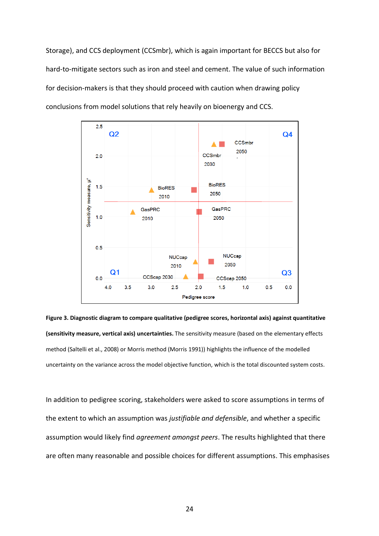Storage), and CCS deployment (CCSmbr), which is again important for BECCS but also for hard-to-mitigate sectors such as iron and steel and cement. The value of such information for decision-makers is that they should proceed with caution when drawing policy conclusions from model solutions that rely heavily on bioenergy and CCS.



**Figure 3. Diagnostic diagram to compare qualitative (pedigree scores, horizontal axis) against quantitative (sensitivity measure, vertical axis) uncertainties.** The sensitivity measure (based on the elementary effects method (Saltelli et al., 2008) or Morris method (Morris 1991)) highlights the influence of the modelled uncertainty on the variance across the model objective function, which is the total discounted system costs.

In addition to pedigree scoring, stakeholders were asked to score assumptions in terms of the extent to which an assumption was *justifiable and defensible*, and whether a specific assumption would likely find *agreement amongst peers*. The results highlighted that there are often many reasonable and possible choices for different assumptions. This emphasises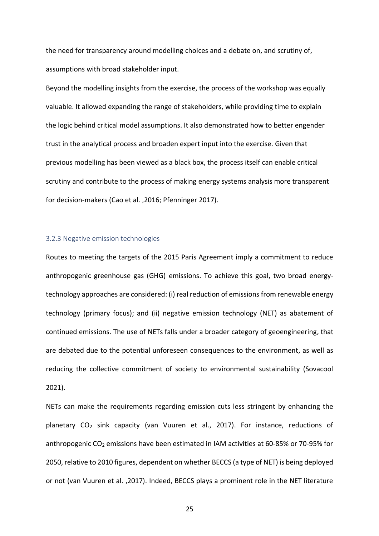the need for transparency around modelling choices and a debate on, and scrutiny of, assumptions with broad stakeholder input.

Beyond the modelling insights from the exercise, the process of the workshop was equally valuable. It allowed expanding the range of stakeholders, while providing time to explain the logic behind critical model assumptions. It also demonstrated how to better engender trust in the analytical process and broaden expert input into the exercise. Given that previous modelling has been viewed as a black box, the process itself can enable critical scrutiny and contribute to the process of making energy systems analysis more transparent for decision-makers (Cao et al. ,2016; Pfenninger 2017).

#### 3.2.3 Negative emission technologies

Routes to meeting the targets of the 2015 Paris Agreement imply a commitment to reduce anthropogenic greenhouse gas (GHG) emissions. To achieve this goal, two broad energytechnology approaches are considered: (i) real reduction of emissions from renewable energy technology (primary focus); and (ii) negative emission technology (NET) as abatement of continued emissions. The use of NETs falls under a broader category of geoengineering, that are debated due to the potential unforeseen consequences to the environment, as well as reducing the collective commitment of society to environmental sustainability (Sovacool 2021).

NETs can make the requirements regarding emission cuts less stringent by enhancing the planetary CO<sup>2</sup> sink capacity (van Vuuren et al., 2017). For instance, reductions of anthropogenic CO<sub>2</sub> emissions have been estimated in IAM activities at 60-85% or 70-95% for 2050, relative to 2010 figures, dependent on whether BECCS (a type of NET) is being deployed or not (van Vuuren et al. ,2017). Indeed, BECCS plays a prominent role in the NET literature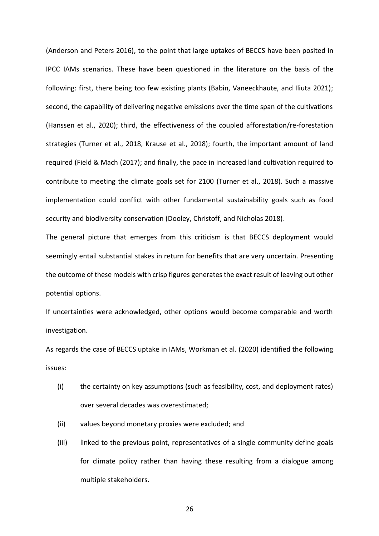(Anderson and Peters 2016), to the point that large uptakes of BECCS have been posited in IPCC IAMs scenarios. These have been questioned in the literature on the basis of the following: first, there being too few existing plants (Babin, Vaneeckhaute, and Iliuta 2021); second, the capability of delivering negative emissions over the time span of the cultivations (Hanssen et al., 2020); third, the effectiveness of the coupled afforestation/re-forestation strategies (Turner et al., 2018, Krause et al., 2018); fourth, the important amount of land required (Field & Mach (2017); and finally, the pace in increased land cultivation required to contribute to meeting the climate goals set for 2100 (Turner et al., 2018). Such a massive implementation could conflict with other fundamental sustainability goals such as food security and biodiversity conservation (Dooley, Christoff, and Nicholas 2018).

The general picture that emerges from this criticism is that BECCS deployment would seemingly entail substantial stakes in return for benefits that are very uncertain. Presenting the outcome of these models with crisp figures generates the exact result of leaving out other potential options.

If uncertainties were acknowledged, other options would become comparable and worth investigation.

As regards the case of BECCS uptake in IAMs, Workman et al. (2020) identified the following issues:

- (i) the certainty on key assumptions (such as feasibility, cost, and deployment rates) over several decades was overestimated;
- (ii) values beyond monetary proxies were excluded; and
- (iii) linked to the previous point, representatives of a single community define goals for climate policy rather than having these resulting from a dialogue among multiple stakeholders.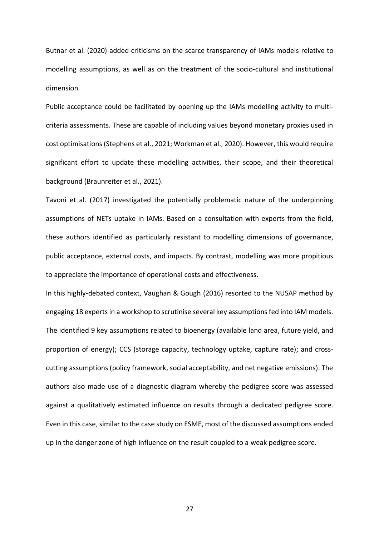Butnar et al. (2020) added criticisms on the scarce transparency of IAMs models relative to modelling assumptions, as well as on the treatment of the socio-cultural and institutional dimension.

Public acceptance could be facilitated by opening up the IAMs modelling activity to multicriteria assessments. These are capable of including values beyond monetary proxies used in cost optimisations (Stephens et al., 2021; Workman et al., 2020). However, this would require significant effort to update these modelling activities, their scope, and their theoretical background (Braunreiter et al., 2021).

Tavoni et al. (2017) investigated the potentially problematic nature of the underpinning assumptions of NETs uptake in IAMs. Based on a consultation with experts from the field, these authors identified as particularly resistant to modelling dimensions of governance, public acceptance, external costs, and impacts. By contrast, modelling was more propitious to appreciate the importance of operational costs and effectiveness.

In this highly-debated context, Vaughan & Gough (2016) resorted to the NUSAP method by engaging 18 experts in a workshop to scrutinise several key assumptions fed into IAM models. The identified 9 key assumptions related to bioenergy (available land area, future yield, and proportion of energy); CCS (storage capacity, technology uptake, capture rate); and crosscutting assumptions (policy framework, social acceptability, and net negative emissions). The authors also made use of a diagnostic diagram whereby the pedigree score was assessed against a qualitatively estimated influence on results through a dedicated pedigree score. Even in this case, similar to the case study on ESME, most of the discussed assumptions ended up in the danger zone of high influence on the result coupled to a weak pedigree score.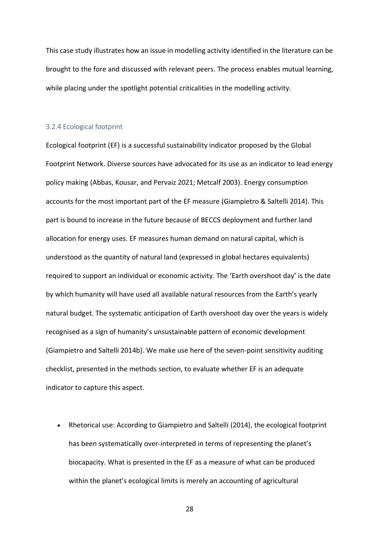This case study illustrates how an issue in modelling activity identified in the literature can be brought to the fore and discussed with relevant peers. The process enables mutual learning, while placing under the spotlight potential criticalities in the modelling activity.

#### 3.2.4 Ecological footprint

Ecological footprint (EF) is a successful sustainability indicator proposed by the Global Footprint Network. Diverse sources have advocated for its use as an indicator to lead energy policy making (Abbas, Kousar, and Pervaiz 2021; Metcalf 2003). Energy consumption accounts for the most important part of the EF measure (Giampietro & Saltelli 2014). This part is bound to increase in the future because of BECCS deployment and further land allocation for energy uses. EF measures human demand on natural capital, which is understood as the quantity of natural land (expressed in global hectares equivalents) required to support an individual or economic activity. The 'Earth overshoot day' is the date by which humanity will have used all available natural resources from the Earth's yearly natural budget. The systematic anticipation of Earth overshoot day over the years is widely recognised as a sign of humanity's unsustainable pattern of economic development (Giampietro and Saltelli 2014b). We make use here of the seven-point sensitivity auditing checklist, presented in the methods section, to evaluate whether EF is an adequate indicator to capture this aspect.

• Rhetorical use: According to Giampietro and Saltelli (2014), the ecological footprint has been systematically over-interpreted in terms of representing the planet's biocapacity. What is presented in the EF as a measure of what can be produced within the planet's ecological limits is merely an accounting of agricultural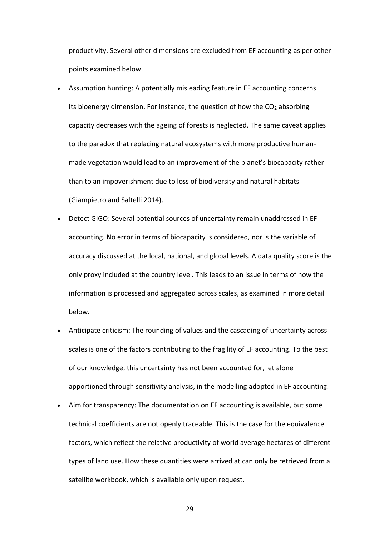productivity. Several other dimensions are excluded from EF accounting as per other points examined below.

- Assumption hunting: A potentially misleading feature in EF accounting concerns Its bioenergy dimension. For instance, the question of how the  $CO<sub>2</sub>$  absorbing capacity decreases with the ageing of forests is neglected. The same caveat applies to the paradox that replacing natural ecosystems with more productive humanmade vegetation would lead to an improvement of the planet's biocapacity rather than to an impoverishment due to loss of biodiversity and natural habitats (Giampietro and Saltelli 2014).
- Detect GIGO: Several potential sources of uncertainty remain unaddressed in EF accounting. No error in terms of biocapacity is considered, nor is the variable of accuracy discussed at the local, national, and global levels. A data quality score is the only proxy included at the country level. This leads to an issue in terms of how the information is processed and aggregated across scales, as examined in more detail below.
- Anticipate criticism: The rounding of values and the cascading of uncertainty across scales is one of the factors contributing to the fragility of EF accounting. To the best of our knowledge, this uncertainty has not been accounted for, let alone apportioned through sensitivity analysis, in the modelling adopted in EF accounting.
- Aim for transparency: The documentation on EF accounting is available, but some technical coefficients are not openly traceable. This is the case for the equivalence factors, which reflect the relative productivity of world average hectares of different types of land use. How these quantities were arrived at can only be retrieved from a satellite workbook, which is available only upon request.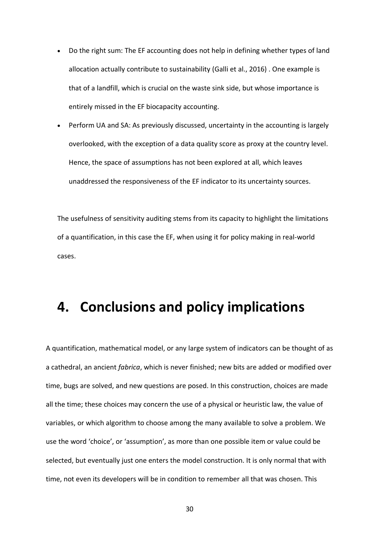- Do the right sum: The EF accounting does not help in defining whether types of land allocation actually contribute to sustainability (Galli et al., 2016) . One example is that of a landfill, which is crucial on the waste sink side, but whose importance is entirely missed in the EF biocapacity accounting.
- Perform UA and SA: As previously discussed, uncertainty in the accounting is largely overlooked, with the exception of a data quality score as proxy at the country level. Hence, the space of assumptions has not been explored at all, which leaves unaddressed the responsiveness of the EF indicator to its uncertainty sources.

The usefulness of sensitivity auditing stems from its capacity to highlight the limitations of a quantification, in this case the EF, when using it for policy making in real-world cases.

### **4. Conclusions and policy implications**

A quantification, mathematical model, or any large system of indicators can be thought of as a cathedral, an ancient *fabrica*, which is never finished; new bits are added or modified over time, bugs are solved, and new questions are posed. In this construction, choices are made all the time; these choices may concern the use of a physical or heuristic law, the value of variables, or which algorithm to choose among the many available to solve a problem. We use the word 'choice', or 'assumption', as more than one possible item or value could be selected, but eventually just one enters the model construction. It is only normal that with time, not even its developers will be in condition to remember all that was chosen. This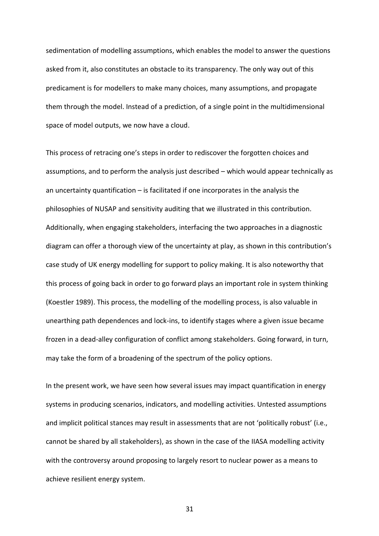sedimentation of modelling assumptions, which enables the model to answer the questions asked from it, also constitutes an obstacle to its transparency. The only way out of this predicament is for modellers to make many choices, many assumptions, and propagate them through the model. Instead of a prediction, of a single point in the multidimensional space of model outputs, we now have a cloud.

This process of retracing one's steps in order to rediscover the forgotten choices and assumptions, and to perform the analysis just described – which would appear technically as an uncertainty quantification – is facilitated if one incorporates in the analysis the philosophies of NUSAP and sensitivity auditing that we illustrated in this contribution. Additionally, when engaging stakeholders, interfacing the two approaches in a diagnostic diagram can offer a thorough view of the uncertainty at play, as shown in this contribution's case study of UK energy modelling for support to policy making. It is also noteworthy that this process of going back in order to go forward plays an important role in system thinking (Koestler 1989). This process, the modelling of the modelling process, is also valuable in unearthing path dependences and lock-ins, to identify stages where a given issue became frozen in a dead-alley configuration of conflict among stakeholders. Going forward, in turn, may take the form of a broadening of the spectrum of the policy options.

In the present work, we have seen how several issues may impact quantification in energy systems in producing scenarios, indicators, and modelling activities. Untested assumptions and implicit political stances may result in assessments that are not 'politically robust' (i.e., cannot be shared by all stakeholders), as shown in the case of the IIASA modelling activity with the controversy around proposing to largely resort to nuclear power as a means to achieve resilient energy system.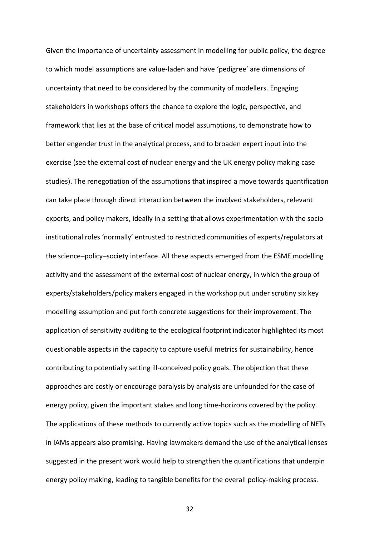Given the importance of uncertainty assessment in modelling for public policy, the degree to which model assumptions are value-laden and have 'pedigree' are dimensions of uncertainty that need to be considered by the community of modellers. Engaging stakeholders in workshops offers the chance to explore the logic, perspective, and framework that lies at the base of critical model assumptions, to demonstrate how to better engender trust in the analytical process, and to broaden expert input into the exercise (see the external cost of nuclear energy and the UK energy policy making case studies). The renegotiation of the assumptions that inspired a move towards quantification can take place through direct interaction between the involved stakeholders, relevant experts, and policy makers, ideally in a setting that allows experimentation with the socioinstitutional roles 'normally' entrusted to restricted communities of experts/regulators at the science–policy–society interface. All these aspects emerged from the ESME modelling activity and the assessment of the external cost of nuclear energy, in which the group of experts/stakeholders/policy makers engaged in the workshop put under scrutiny six key modelling assumption and put forth concrete suggestions for their improvement. The application of sensitivity auditing to the ecological footprint indicator highlighted its most questionable aspects in the capacity to capture useful metrics for sustainability, hence contributing to potentially setting ill-conceived policy goals. The objection that these approaches are costly or encourage paralysis by analysis are unfounded for the case of energy policy, given the important stakes and long time-horizons covered by the policy. The applications of these methods to currently active topics such as the modelling of NETs in IAMs appears also promising. Having lawmakers demand the use of the analytical lenses suggested in the present work would help to strengthen the quantifications that underpin energy policy making, leading to tangible benefits for the overall policy-making process.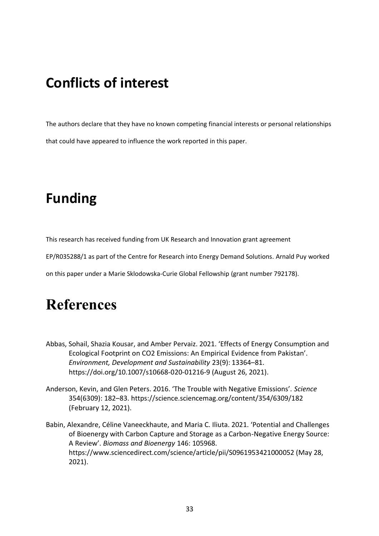## **Conflicts of interest**

The authors declare that they have no known competing financial interests or personal relationships that could have appeared to influence the work reported in this paper.

## **Funding**

This research has received funding from UK Research and Innovation grant agreement

EP/R035288/1 as part of the Centre for Research into Energy Demand Solutions. Arnald Puy worked

on this paper under a Marie Sklodowska-Curie Global Fellowship (grant number 792178).

## **References**

- Abbas, Sohail, Shazia Kousar, and Amber Pervaiz. 2021. 'Effects of Energy Consumption and Ecological Footprint on CO2 Emissions: An Empirical Evidence from Pakistan'. *Environment, Development and Sustainability* 23(9): 13364–81. https://doi.org/10.1007/s10668-020-01216-9 (August 26, 2021).
- Anderson, Kevin, and Glen Peters. 2016. 'The Trouble with Negative Emissions'. *Science* 354(6309): 182–83. https://science.sciencemag.org/content/354/6309/182 (February 12, 2021).
- Babin, Alexandre, Céline Vaneeckhaute, and Maria C. Iliuta. 2021. 'Potential and Challenges of Bioenergy with Carbon Capture and Storage as a Carbon-Negative Energy Source: A Review'. *Biomass and Bioenergy* 146: 105968. https://www.sciencedirect.com/science/article/pii/S0961953421000052 (May 28, 2021).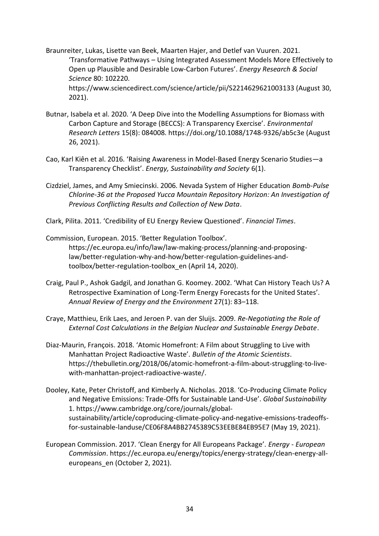Braunreiter, Lukas, Lisette van Beek, Maarten Hajer, and Detlef van Vuuren. 2021. 'Transformative Pathways – Using Integrated Assessment Models More Effectively to Open up Plausible and Desirable Low-Carbon Futures'. *Energy Research & Social Science* 80: 102220. https://www.sciencedirect.com/science/article/pii/S2214629621003133 (August 30, 2021).

- Butnar, Isabela et al. 2020. 'A Deep Dive into the Modelling Assumptions for Biomass with Carbon Capture and Storage (BECCS): A Transparency Exercise'. *Environmental Research Letters* 15(8): 084008. https://doi.org/10.1088/1748-9326/ab5c3e (August 26, 2021).
- Cao, Karl Kiên et al. 2016. 'Raising Awareness in Model-Based Energy Scenario Studies—a Transparency Checklist'. *Energy, Sustainability and Society* 6(1).
- Cizdziel, James, and Amy Smiecinski. 2006. Nevada System of Higher Education *Bomb-Pulse Chlorine-36 at the Proposed Yucca Mountain Repository Horizon: An Investigation of Previous Conflicting Results and Collection of New Data*.
- Clark, Pilita. 2011. 'Credibility of EU Energy Review Questioned'. *Financial Times*.
- Commission, European. 2015. 'Better Regulation Toolbox'. https://ec.europa.eu/info/law/law-making-process/planning-and-proposinglaw/better-regulation-why-and-how/better-regulation-guidelines-andtoolbox/better-regulation-toolbox\_en (April 14, 2020).
- Craig, Paul P., Ashok Gadgil, and Jonathan G. Koomey. 2002. 'What Can History Teach Us? A Retrospective Examination of Long-Term Energy Forecasts for the United States'. *Annual Review of Energy and the Environment* 27(1): 83–118.
- Craye, Matthieu, Erik Laes, and Jeroen P. van der Sluijs. 2009. *Re-Negotiating the Role of External Cost Calculations in the Belgian Nuclear and Sustainable Energy Debate*.
- Diaz-Maurin, François. 2018. 'Atomic Homefront: A Film about Struggling to Live with Manhattan Project Radioactive Waste'. *Bulletin of the Atomic Scientists*. https://thebulletin.org/2018/06/atomic-homefront-a-film-about-struggling-to-livewith-manhattan-project-radioactive-waste/.
- Dooley, Kate, Peter Christoff, and Kimberly A. Nicholas. 2018. 'Co-Producing Climate Policy and Negative Emissions: Trade-Offs for Sustainable Land-Use'. *Global Sustainability* 1. https://www.cambridge.org/core/journals/globalsustainability/article/coproducing-climate-policy-and-negative-emissions-tradeoffsfor-sustainable-landuse/CE06F8A4BB2745389C53EEBE84EB95E7 (May 19, 2021).
- European Commission. 2017. 'Clean Energy for All Europeans Package'. *Energy - European Commission*. https://ec.europa.eu/energy/topics/energy-strategy/clean-energy-alleuropeans en (October 2, 2021).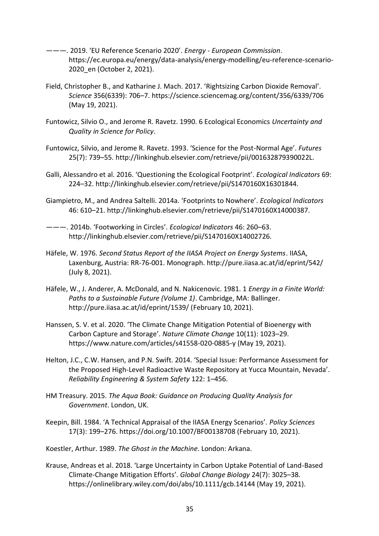- ———. 2019. 'EU Reference Scenario 2020'. *Energy - European Commission*. https://ec.europa.eu/energy/data-analysis/energy-modelling/eu-reference-scenario-2020\_en (October 2, 2021).
- Field, Christopher B., and Katharine J. Mach. 2017. 'Rightsizing Carbon Dioxide Removal'. *Science* 356(6339): 706–7. https://science.sciencemag.org/content/356/6339/706 (May 19, 2021).
- Funtowicz, Silvio O., and Jerome R. Ravetz. 1990. 6 Ecological Economics *Uncertainty and Quality in Science for Policy*.
- Funtowicz, Silvio, and Jerome R. Ravetz. 1993. 'Science for the Post-Normal Age'. *Futures* 25(7): 739–55. http://linkinghub.elsevier.com/retrieve/pii/001632879390022L.
- Galli, Alessandro et al. 2016. 'Questioning the Ecological Footprint'. *Ecological Indicators* 69: 224–32. http://linkinghub.elsevier.com/retrieve/pii/S1470160X16301844.
- Giampietro, M., and Andrea Saltelli. 2014a. 'Footprints to Nowhere'. *Ecological Indicators* 46: 610–21. http://linkinghub.elsevier.com/retrieve/pii/S1470160X14000387.
- ———. 2014b. 'Footworking in Circles'. *Ecological Indicators* 46: 260–63. http://linkinghub.elsevier.com/retrieve/pii/S1470160X14002726.
- Häfele, W. 1976. *Second Status Report of the IIASA Project on Energy Systems*. IIASA, Laxenburg, Austria: RR-76-001. Monograph. http://pure.iiasa.ac.at/id/eprint/542/ (July 8, 2021).
- Häfele, W., J. Anderer, A. McDonald, and N. Nakicenovic. 1981. 1 *Energy in a Finite World: Paths to a Sustainable Future (Volume 1)*. Cambridge, MA: Ballinger. http://pure.iiasa.ac.at/id/eprint/1539/ (February 10, 2021).
- Hanssen, S. V. et al. 2020. 'The Climate Change Mitigation Potential of Bioenergy with Carbon Capture and Storage'. *Nature Climate Change* 10(11): 1023–29. https://www.nature.com/articles/s41558-020-0885-y (May 19, 2021).
- Helton, J.C., C.W. Hansen, and P.N. Swift. 2014. 'Special Issue: Performance Assessment for the Proposed High-Level Radioactive Waste Repository at Yucca Mountain, Nevada'. *Reliability Engineering & System Safety* 122: 1–456.
- HM Treasury. 2015. *The Aqua Book: Guidance on Producing Quality Analysis for Government*. London, UK.
- Keepin, Bill. 1984. 'A Technical Appraisal of the IIASA Energy Scenarios'. *Policy Sciences* 17(3): 199–276. https://doi.org/10.1007/BF00138708 (February 10, 2021).

Koestler, Arthur. 1989. *The Ghost in the Machine*. London: Arkana.

Krause, Andreas et al. 2018. 'Large Uncertainty in Carbon Uptake Potential of Land-Based Climate-Change Mitigation Efforts'. *Global Change Biology* 24(7): 3025–38. https://onlinelibrary.wiley.com/doi/abs/10.1111/gcb.14144 (May 19, 2021).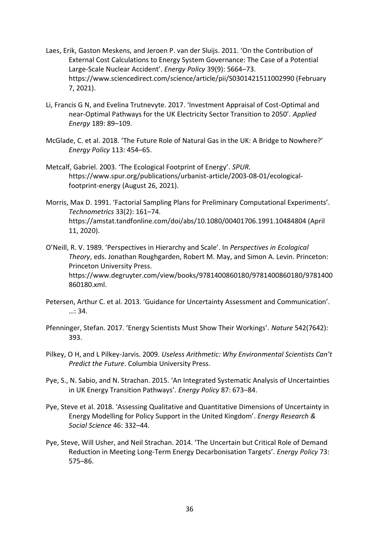- Laes, Erik, Gaston Meskens, and Jeroen P. van der Sluijs. 2011. 'On the Contribution of External Cost Calculations to Energy System Governance: The Case of a Potential Large-Scale Nuclear Accident'. *Energy Policy* 39(9): 5664–73. https://www.sciencedirect.com/science/article/pii/S0301421511002990 (February 7, 2021).
- Li, Francis G N, and Evelina Trutnevyte. 2017. 'Investment Appraisal of Cost-Optimal and near-Optimal Pathways for the UK Electricity Sector Transition to 2050'. *Applied Energy* 189: 89–109.
- McGlade, C. et al. 2018. 'The Future Role of Natural Gas in the UK: A Bridge to Nowhere?' *Energy Policy* 113: 454–65.
- Metcalf, Gabriel. 2003. 'The Ecological Footprint of Energy'. *SPUR*. https://www.spur.org/publications/urbanist-article/2003-08-01/ecologicalfootprint-energy (August 26, 2021).
- Morris, Max D. 1991. 'Factorial Sampling Plans for Preliminary Computational Experiments'. *Technometrics* 33(2): 161–74. https://amstat.tandfonline.com/doi/abs/10.1080/00401706.1991.10484804 (April 11, 2020).
- O'Neill, R. V. 1989. 'Perspectives in Hierarchy and Scale'. In *Perspectives in Ecological Theory*, eds. Jonathan Roughgarden, Robert M. May, and Simon A. Levin. Princeton: Princeton University Press. https://www.degruyter.com/view/books/9781400860180/9781400860180/9781400 860180.xml.
- Petersen, Arthur C. et al. 2013. 'Guidance for Uncertainty Assessment and Communication'. …: 34.
- Pfenninger, Stefan. 2017. 'Energy Scientists Must Show Their Workings'. *Nature* 542(7642): 393.
- Pilkey, O H, and L Pilkey-Jarvis. 2009. *Useless Arithmetic: Why Environmental Scientists Can't Predict the Future*. Columbia University Press.
- Pye, S., N. Sabio, and N. Strachan. 2015. 'An Integrated Systematic Analysis of Uncertainties in UK Energy Transition Pathways'. *Energy Policy* 87: 673–84.
- Pye, Steve et al. 2018. 'Assessing Qualitative and Quantitative Dimensions of Uncertainty in Energy Modelling for Policy Support in the United Kingdom'. *Energy Research & Social Science* 46: 332–44.
- Pye, Steve, Will Usher, and Neil Strachan. 2014. 'The Uncertain but Critical Role of Demand Reduction in Meeting Long-Term Energy Decarbonisation Targets'. *Energy Policy* 73: 575–86.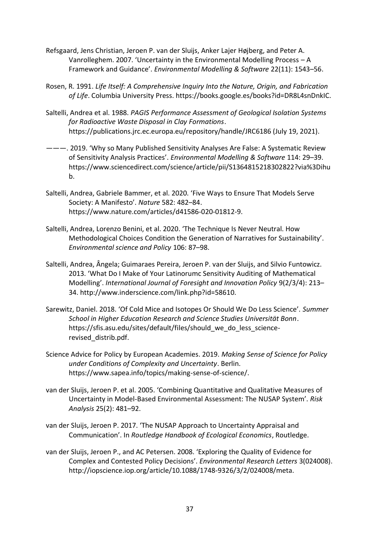- Refsgaard, Jens Christian, Jeroen P. van der Sluijs, Anker Lajer Højberg, and Peter A. Vanrolleghem. 2007. 'Uncertainty in the Environmental Modelling Process – A Framework and Guidance'. *Environmental Modelling & Software* 22(11): 1543–56.
- Rosen, R. 1991. *Life Itself: A Comprehensive Inquiry Into the Nature, Origin, and Fabrication of Life*. Columbia University Press. https://books.google.es/books?id=DR8L4snDnkIC.
- Saltelli, Andrea et al. 1988. *PAGIS Performance Assessment of Geological Isolation Systems for Radioactive Waste Disposal in Clay Formations*. https://publications.jrc.ec.europa.eu/repository/handle/JRC6186 (July 19, 2021).
- ———. 2019. 'Why so Many Published Sensitivity Analyses Are False: A Systematic Review of Sensitivity Analysis Practices'. *Environmental Modelling & Software* 114: 29–39. https://www.sciencedirect.com/science/article/pii/S1364815218302822?via%3Dihu b.
- Saltelli, Andrea, Gabriele Bammer, et al. 2020. 'Five Ways to Ensure That Models Serve Society: A Manifesto'. *Nature* 582: 482–84. https://www.nature.com/articles/d41586-020-01812-9.
- Saltelli, Andrea, Lorenzo Benini, et al. 2020. 'The Technique Is Never Neutral. How Methodological Choices Condition the Generation of Narratives for Sustainability'. *Environmental science and Policy* 106: 87–98.
- Saltelli, Andrea, Ângela; Guimaraes Pereira, Jeroen P. van der Sluijs, and Silvio Funtowicz. 2013. 'What Do I Make of Your Latinorumc Sensitivity Auditing of Mathematical Modelling'. *International Journal of Foresight and Innovation Policy* 9(2/3/4): 213– 34. http://www.inderscience.com/link.php?id=58610.
- Sarewitz, Daniel. 2018. 'Of Cold Mice and Isotopes Or Should We Do Less Science'. *Summer School in Higher Education Research and Science Studies Universität Bonn*. https://sfis.asu.edu/sites/default/files/should\_we\_do\_less\_sciencerevised\_distrib.pdf.
- Science Advice for Policy by European Academies. 2019. *Making Sense of Science for Policy under Conditions of Complexity and Uncertainty*. Berlin. https://www.sapea.info/topics/making-sense-of-science/.
- van der Sluijs, Jeroen P. et al. 2005. 'Combining Quantitative and Qualitative Measures of Uncertainty in Model-Based Environmental Assessment: The NUSAP System'. *Risk Analysis* 25(2): 481–92.
- van der Sluijs, Jeroen P. 2017. 'The NUSAP Approach to Uncertainty Appraisal and Communication'. In *Routledge Handbook of Ecological Economics*, Routledge.
- van der Sluijs, Jeroen P., and AC Petersen. 2008. 'Exploring the Quality of Evidence for Complex and Contested Policy Decisions'. *Environmental Research Letters* 3(024008). http://iopscience.iop.org/article/10.1088/1748-9326/3/2/024008/meta.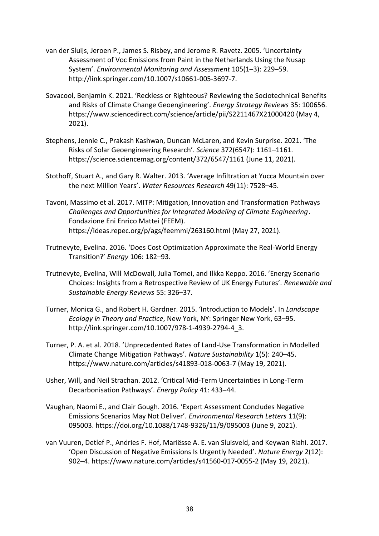- van der Sluijs, Jeroen P., James S. Risbey, and Jerome R. Ravetz. 2005. 'Uncertainty Assessment of Voc Emissions from Paint in the Netherlands Using the Nusap System'. *Environmental Monitoring and Assessment* 105(1–3): 229–59. http://link.springer.com/10.1007/s10661-005-3697-7.
- Sovacool, Benjamin K. 2021. 'Reckless or Righteous? Reviewing the Sociotechnical Benefits and Risks of Climate Change Geoengineering'. *Energy Strategy Reviews* 35: 100656. https://www.sciencedirect.com/science/article/pii/S2211467X21000420 (May 4, 2021).
- Stephens, Jennie C., Prakash Kashwan, Duncan McLaren, and Kevin Surprise. 2021. 'The Risks of Solar Geoengineering Research'. *Science* 372(6547): 1161–1161. https://science.sciencemag.org/content/372/6547/1161 (June 11, 2021).
- Stothoff, Stuart A., and Gary R. Walter. 2013. 'Average Infiltration at Yucca Mountain over the next Million Years'. *Water Resources Research* 49(11): 7528–45.
- Tavoni, Massimo et al. 2017. MITP: Mitigation, Innovation and Transformation Pathways *Challenges and Opportunities for Integrated Modeling of Climate Engineering*. Fondazione Eni Enrico Mattei (FEEM). https://ideas.repec.org/p/ags/feemmi/263160.html (May 27, 2021).
- Trutnevyte, Evelina. 2016. 'Does Cost Optimization Approximate the Real-World Energy Transition?' *Energy* 106: 182–93.
- Trutnevyte, Evelina, Will McDowall, Julia Tomei, and Ilkka Keppo. 2016. 'Energy Scenario Choices: Insights from a Retrospective Review of UK Energy Futures'. *Renewable and Sustainable Energy Reviews* 55: 326–37.
- Turner, Monica G., and Robert H. Gardner. 2015. 'Introduction to Models'. In *Landscape Ecology in Theory and Practice*, New York, NY: Springer New York, 63–95. http://link.springer.com/10.1007/978-1-4939-2794-4\_3.
- Turner, P. A. et al. 2018. 'Unprecedented Rates of Land-Use Transformation in Modelled Climate Change Mitigation Pathways'. *Nature Sustainability* 1(5): 240–45. https://www.nature.com/articles/s41893-018-0063-7 (May 19, 2021).
- Usher, Will, and Neil Strachan. 2012. 'Critical Mid-Term Uncertainties in Long-Term Decarbonisation Pathways'. *Energy Policy* 41: 433–44.
- Vaughan, Naomi E., and Clair Gough. 2016. 'Expert Assessment Concludes Negative Emissions Scenarios May Not Deliver'. *Environmental Research Letters* 11(9): 095003. https://doi.org/10.1088/1748-9326/11/9/095003 (June 9, 2021).
- van Vuuren, Detlef P., Andries F. Hof, Mariësse A. E. van Sluisveld, and Keywan Riahi. 2017. 'Open Discussion of Negative Emissions Is Urgently Needed'. *Nature Energy* 2(12): 902–4. https://www.nature.com/articles/s41560-017-0055-2 (May 19, 2021).